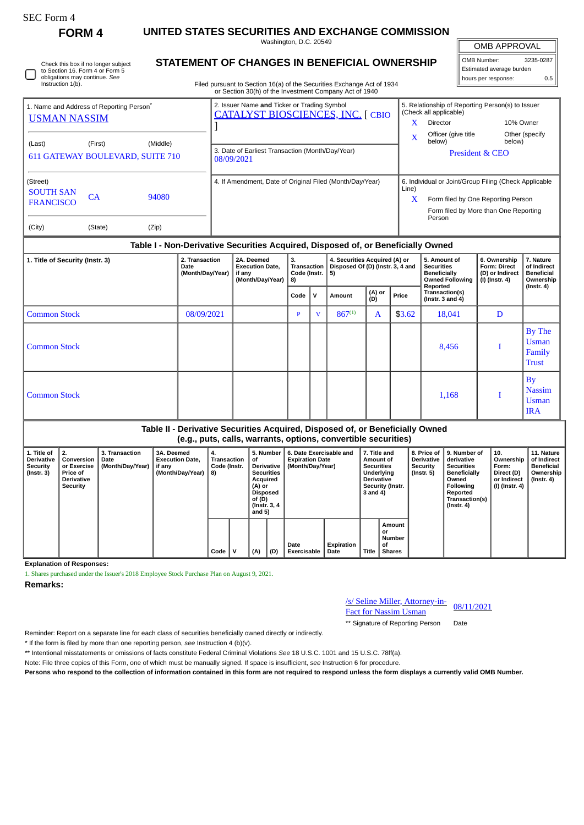**FORM 4 UNITED STATES SECURITIES AND EXCHANGE COMMISSION** Washington, D.C. 20549

OMB APPROVAL

| UMB APPRUVAL             |           |  |  |  |  |  |  |  |  |  |
|--------------------------|-----------|--|--|--|--|--|--|--|--|--|
| OMB Number:              | 3235-0287 |  |  |  |  |  |  |  |  |  |
| Estimated average burden |           |  |  |  |  |  |  |  |  |  |
| hours per response:      | 0.5       |  |  |  |  |  |  |  |  |  |

Check this box if no longer subject to Section 16. Form 4 or Form 5 obligations may continue. *See* Instruction 1(b).

## **STATEMENT OF CHANGES IN BENEFICIAL OWNERSHIP**

Filed pursuant to Section 16(a) of the Securities Exchange Act of 1934 or Section 30(h) of the Investment Company Act of 1940

| 1. Name and Address of Reporting Person <sup>®</sup><br><b>USMAN NASSIM</b> |         |          | 2. Issuer Name and Ticker or Trading Symbol<br><b>CATALYST BIOSCIENCES, INC. [ CBIO</b> | 5. Relationship of Reporting Person(s) to Issuer<br>(Check all applicable) |                                                                                             |                          |  |  |
|-----------------------------------------------------------------------------|---------|----------|-----------------------------------------------------------------------------------------|----------------------------------------------------------------------------|---------------------------------------------------------------------------------------------|--------------------------|--|--|
|                                                                             |         |          |                                                                                         | x                                                                          | Director                                                                                    | 10% Owner                |  |  |
| (Last)                                                                      | (First) | (Middle) |                                                                                         | X                                                                          | Officer (give title)<br>below)                                                              | Other (specify<br>below) |  |  |
| 611 GATEWAY BOULEVARD, SUITE 710                                            |         |          | 3. Date of Earliest Transaction (Month/Day/Year)<br>08/09/2021                          | <b>President &amp; CEO</b>                                                 |                                                                                             |                          |  |  |
| (Street)<br><b>SOUTH SAN</b>                                                | CA      | 94080    | 4. If Amendment, Date of Original Filed (Month/Day/Year)                                | Line)<br>x                                                                 | 6. Individual or Joint/Group Filing (Check Applicable<br>Form filed by One Reporting Person |                          |  |  |
| <b>FRANCISCO</b>                                                            |         |          |                                                                                         |                                                                            | Form filed by More than One Reporting<br>Person                                             |                          |  |  |
| (City)                                                                      | (State) | (Zip)    |                                                                                         |                                                                            |                                                                                             |                          |  |  |

## **Table I - Non-Derivative Securities Acquired, Disposed of, or Beneficially Owned**

| 1. Title of Security (Instr. 3) | 2. Transaction<br>Date<br>(Month/Day/Year) | 2A. Deemed<br><b>Execution Date,</b><br>if any<br>(Month/Day/Year)   8) | 3.<br><b>Transaction</b><br>Code (Instr. |              | 4. Securities Acquired (A) or<br>Disposed Of (D) (Instr. 3, 4 and<br>5) |              |        | 5. Amount of<br><b>Securities</b><br><b>Beneficially</b><br><b>Owned Following</b><br>Reported | 6. Ownership<br><b>Form: Direct</b><br>(D) or Indirect<br>(I) (Instr. 4) | 7. Nature<br>of Indirect<br><b>Beneficial</b><br>Ownership<br>$($ Instr. 4 $)$ |
|---------------------------------|--------------------------------------------|-------------------------------------------------------------------------|------------------------------------------|--------------|-------------------------------------------------------------------------|--------------|--------|------------------------------------------------------------------------------------------------|--------------------------------------------------------------------------|--------------------------------------------------------------------------------|
|                                 |                                            |                                                                         | v<br>Code                                |              | (A) or<br>Amount<br>(D)                                                 |              | Price  | Transaction(s)<br>$($ Instr. 3 and 4 $)$                                                       |                                                                          |                                                                                |
| <b>Common Stock</b>             | 08/09/2021                                 |                                                                         | Þ                                        | $\mathbf{V}$ | $867^{(1)}$                                                             | $\mathbf{A}$ | \$3.62 | 18,041                                                                                         | D                                                                        |                                                                                |
| <b>Common Stock</b>             |                                            |                                                                         |                                          |              |                                                                         |              |        | 8,456                                                                                          |                                                                          | By The<br><b>Usman</b><br>Family<br><b>Trust</b>                               |
| <b>Common Stock</b>             |                                            |                                                                         |                                          |              |                                                                         |              |        | 1,168                                                                                          |                                                                          | <b>By</b><br><b>Nassim</b><br><b>Usman</b><br><b>IRA</b>                       |

## **Table II - Derivative Securities Acquired, Disposed of, or Beneficially Owned (e.g., puts, calls, warrants, options, convertible securities)**

| loidii barol oanol marrantol obtionol oontertibic ocoariticol     |                                                                               |                                                   |                                                                    |                                                |  |                                                                                                                             |     |                                                                       |                    |                                                                                                                   |                                               |                                                              |                                                                                                                                                  |                                                                          |                                                                                 |
|-------------------------------------------------------------------|-------------------------------------------------------------------------------|---------------------------------------------------|--------------------------------------------------------------------|------------------------------------------------|--|-----------------------------------------------------------------------------------------------------------------------------|-----|-----------------------------------------------------------------------|--------------------|-------------------------------------------------------------------------------------------------------------------|-----------------------------------------------|--------------------------------------------------------------|--------------------------------------------------------------------------------------------------------------------------------------------------|--------------------------------------------------------------------------|---------------------------------------------------------------------------------|
| 1. Title of<br><b>Derivative</b><br><b>Security</b><br>(Instr. 3) | Conversion<br>or Exercise<br><b>Price of</b><br><b>Derivative</b><br>Security | <b>3. Transaction</b><br>Date<br>(Month/Day/Year) | 3A. Deemed<br><b>Execution Date.</b><br>if any<br>(Month/Day/Year) | 4.<br><b>Transaction</b><br>Code (Instr.<br>8) |  | 5. Number<br>οf<br>Derivative<br><b>Securities</b><br>Acquired<br>(A) or<br>Disposed<br>of (D)<br>(Instr. 3, 4)<br>and $5)$ |     | 6. Date Exercisable and<br><b>Expiration Date</b><br>(Month/Day/Year) |                    | 7. Title and<br>Amount of<br><b>Securities</b><br>Underlying<br><b>Derivative</b><br>Security (Instr.<br>3 and 4) |                                               | 8. Price of I<br><b>Derivative</b><br>Security<br>(Instr. 5) | l 9. Number of<br>derivative<br><b>Securities</b><br><b>Beneficially</b><br>Owned<br>Following<br>Reported<br>Transaction(s)<br>$($ Instr. 4 $)$ | 10.<br>Ownership<br>Form:<br>Direct (D)<br>or Indirect<br>(I) (Instr. 4) | 11. Nature<br>of Indirect<br><b>Beneficial</b><br>Ownership<br>$($ Instr. 4 $)$ |
|                                                                   |                                                                               |                                                   |                                                                    | Code                                           |  | (A)                                                                                                                         | (D) | Date<br><b>Exercisable</b>                                            | Expiration<br>Date | Title                                                                                                             | Amount<br>or<br>Number<br>οf<br><b>Shares</b> |                                                              |                                                                                                                                                  |                                                                          |                                                                                 |

**Explanation of Responses:**

1. Shares purchased under the Issuer's 2018 Employee Stock Purchase Plan on August 9, 2021.

**Remarks:**

/s/ Seline Miller, Attorney-in-<u>Fact for Nassim Usman</u> 08/11/2021

\*\* Signature of Reporting Person Date

Reminder: Report on a separate line for each class of securities beneficially owned directly or indirectly.

\* If the form is filed by more than one reporting person, *see* Instruction 4 (b)(v).

\*\* Intentional misstatements or omissions of facts constitute Federal Criminal Violations *See* 18 U.S.C. 1001 and 15 U.S.C. 78ff(a).

Note: File three copies of this Form, one of which must be manually signed. If space is insufficient, *see* Instruction 6 for procedure.

**Persons who respond to the collection of information contained in this form are not required to respond unless the form displays a currently valid OMB Number.**